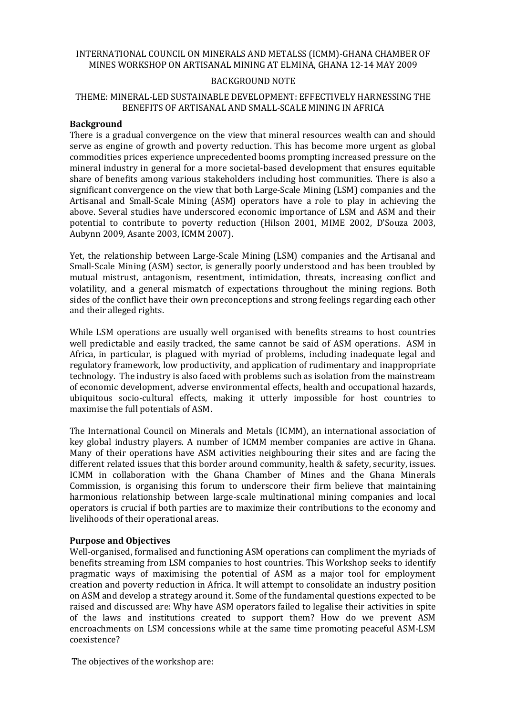# INTERNATIONAL COUNCIL ON MINERALS AND METALSS (ICMM)-GHANA CHAMBER OF MINES WORKSHOP ON ARTISANAL MINING AT ELMINA, GHANA 12-14 MAY 2009

## BACKGROUND NOTE

# THEME: MINERAL-LED SUSTAINABLE DEVELOPMENT: EFFECTIVELY HARNESSING THE BENEFITS OF ARTISANAL AND SMALL-SCALE MINING IN AFRICA

### **Background**

There is a gradual convergence on the view that mineral resources wealth can and should serve as engine of growth and poverty reduction. This has become more urgent as global commodities prices experience unprecedented booms prompting increased pressure on the mineral industry in general for a more societal-based development that ensures equitable share of benefits among various stakeholders including host communities. There is also a significant convergence on the view that both Large-Scale Mining (LSM) companies and the Artisanal and Small-Scale Mining (ASM) operators have a role to play in achieving the above. Several studies have underscored economic importance of LSM and ASM and their potential to contribute to poverty reduction (Hilson 2001, MIME 2002, D'Souza 2003, Aubynn 2009, Asante 2003, ICMM 2007).

Yet, the relationship between Large-Scale Mining (LSM) companies and the Artisanal and Small-Scale Mining (ASM) sector, is generally poorly understood and has been troubled by mutual mistrust, antagonism, resentment, intimidation, threats, increasing conflict and volatility, and a general mismatch of expectations throughout the mining regions. Both sides of the conflict have their own preconceptions and strong feelings regarding each other and their alleged rights.

While LSM operations are usually well organised with benefits streams to host countries well predictable and easily tracked, the same cannot be said of ASM operations. ASM in Africa, in particular, is plagued with myriad of problems, including inadequate legal and regulatory framework, low productivity, and application of rudimentary and inappropriate technology. The industry is also faced with problems such as isolation from the mainstream of economic development, adverse environmental effects, health and occupational hazards, ubiquitous socio-cultural effects, making it utterly impossible for host countries to maximise the full potentials of ASM.

The International Council on Minerals and Metals (ICMM), an international association of key global industry players. A number of ICMM member companies are active in Ghana. Many of their operations have ASM activities neighbouring their sites and are facing the different related issues that this border around community, health & safety, security, issues. ICMM in collaboration with the Ghana Chamber of Mines and the Ghana Minerals Commission, is organising this forum to underscore their firm believe that maintaining harmonious relationship between large-scale multinational mining companies and local operators is crucial if both parties are to maximize their contributions to the economy and livelihoods of their operational areas.

#### **Purpose and Objectives**

Well-organised, formalised and functioning ASM operations can compliment the myriads of benefits streaming from LSM companies to host countries. This Workshop seeks to identify pragmatic ways of maximising the potential of ASM as a major tool for employment creation and poverty reduction in Africa. It will attempt to consolidate an industry position on ASM and develop a strategy around it. Some of the fundamental questions expected to be raised and discussed are: Why have ASM operators failed to legalise their activities in spite of the laws and institutions created to support them? How do we prevent ASM encroachments on LSM concessions while at the same time promoting peaceful ASM-LSM coexistence?

The objectives of the workshop are: